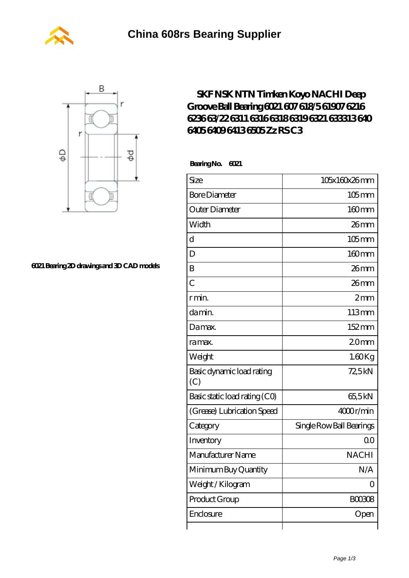



## **[6021 Bearing 2D drawings and 3D CAD models](https://m.wanatahschool.com/pic-510819.html)**

## **[SKF NSK NTN Timken Koyo NACHI Deep](https://m.wanatahschool.com/nachi-6021-bearing/) [Groove Ball Bearing 6021 607 618/5 61907 6216](https://m.wanatahschool.com/nachi-6021-bearing/) [6236 63/22 6311 6316 6318 6319 6321 633313 640](https://m.wanatahschool.com/nachi-6021-bearing/) [6405 6409 6413 6505 Zz RS C3](https://m.wanatahschool.com/nachi-6021-bearing/)**

 **Bearing No. 6021**

| Size                             | 105x160x26mm             |
|----------------------------------|--------------------------|
| <b>Bore Diameter</b>             | $105$ mm                 |
| Outer Diameter                   | 160mm                    |
| Width                            | 26mm                     |
| $\overline{\rm d}$               | $105$ mm                 |
| D                                | 160mm                    |
| B                                | 26mm                     |
| $\overline{C}$                   | 26mm                     |
| r min.                           | 2mm                      |
| da min.                          | 113mm                    |
| Damax.                           | 152mm                    |
| ra max.                          | 20 <sub>mm</sub>         |
| Weight                           | $1.60$ Kg                |
| Basic dynamic load rating<br>(C) | 72,5kN                   |
| Basic static load rating (CO)    | 65,5kN                   |
| (Grease) Lubrication Speed       | 4000r/min                |
| Category                         | Single Row Ball Bearings |
| Inventory                        | 0 <sup>0</sup>           |
| Manufacturer Name                | <b>NACHI</b>             |
| Minimum Buy Quantity             | N/A                      |
| Weight/Kilogram                  | Ω                        |
| Product Group                    | <b>BOO3O8</b>            |
| Enclosure                        | Open                     |
|                                  |                          |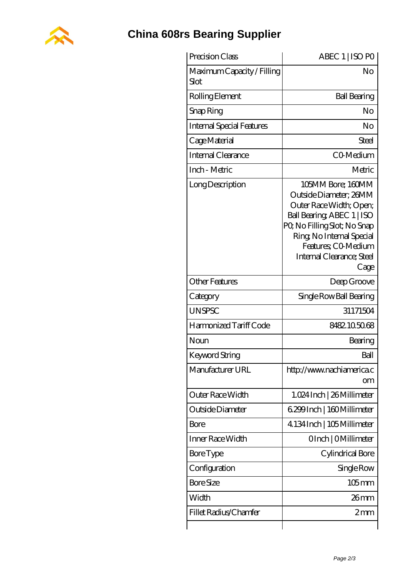

## **[China 608rs Bearing Supplier](https://m.wanatahschool.com)**

| Precision Class                    | ABEC 1   ISO PO                                                                                                                                                                                                              |
|------------------------------------|------------------------------------------------------------------------------------------------------------------------------------------------------------------------------------------------------------------------------|
| Maximum Capacity / Filling<br>Slot | No                                                                                                                                                                                                                           |
| Rolling Element                    | <b>Ball Bearing</b>                                                                                                                                                                                                          |
| Snap Ring                          | No                                                                                                                                                                                                                           |
| <b>Internal Special Features</b>   | No                                                                                                                                                                                                                           |
| Cage Material                      | Steel                                                                                                                                                                                                                        |
| Internal Clearance                 | CO-Medium                                                                                                                                                                                                                    |
| Inch - Metric                      | Metric                                                                                                                                                                                                                       |
| Long Description                   | 105MM Bore; 160MM<br>Outside Diameter: 26MM<br>Outer Race Width; Open;<br>Ball Bearing, ABEC 1   ISO<br>PQ No Filling Slot; No Snap<br>Ring, No Internal Special<br>Features: CO-Medium<br>Internal Clearance; Steel<br>Cage |
| <b>Other Features</b>              | Deep Groove                                                                                                                                                                                                                  |
| Category                           | Single Row Ball Bearing                                                                                                                                                                                                      |
| <b>UNSPSC</b>                      | 31171504                                                                                                                                                                                                                     |
| Harmonized Tariff Code             | 8482.105068                                                                                                                                                                                                                  |
| Noun                               | Bearing                                                                                                                                                                                                                      |
| Keyword String                     | Ball                                                                                                                                                                                                                         |
| Manufacturer URL                   | http://www.nachiamerica.c<br>om                                                                                                                                                                                              |
| Outer Race Width                   | 1.024 Inch   26 Millimeter                                                                                                                                                                                                   |
| Outside Diameter                   | 6.299 Inch   160 Millimeter                                                                                                                                                                                                  |
| Bore                               | 4.134 Inch   105 Millimeter                                                                                                                                                                                                  |
| Inner Race Width                   | OInch   OMillimeter                                                                                                                                                                                                          |
| Bore Type                          | Cylindrical Bore                                                                                                                                                                                                             |
| Configuration                      | Single Row                                                                                                                                                                                                                   |
| <b>Bore Size</b>                   | $105$ mm                                                                                                                                                                                                                     |
| Width                              | $26 \text{mm}$                                                                                                                                                                                                               |
| Fillet Radius/Chamfer              | $2 \text{mm}$                                                                                                                                                                                                                |
|                                    |                                                                                                                                                                                                                              |